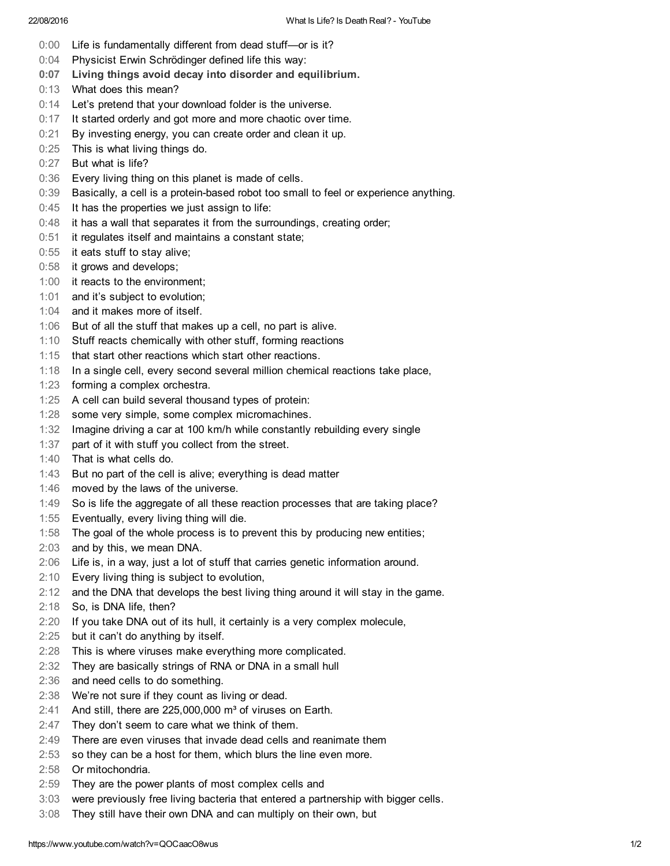- 0:00 Life is fundamentally different from dead stuff-or is it?
- 0:04 Physicist Erwin Schrödinger defined life this way:
- 0:07 Living things avoid decay into disorder and equilibrium.
- 0:13 What does this mean?
- 0:14 Let's pretend that your download folder is the universe.
- 0:17 It started orderly and got more and more chaotic over time.
- 0:21 By investing energy, you can create order and clean it up.
- 0:25 This is what living things do.
- 0:27 But what is life?
- 0:36 Every living thing on this planet is made of cells.
- 0:39 Basically, a cell is a protein-based robot too small to feel or experience anything.
- $0:45$  It has the properties we just assign to life:
- 0:48 it has a wall that separates it from the surroundings, creating order;
- 0:51 it regulates itself and maintains a constant state;
- 0:55 it eats stuff to stay alive;
- 0:58 it grows and develops;
- 1:00 it reacts to the environment;
- 1:01 and it's subject to evolution;
- 1:04 and it makes more of itself.
- 1:06 But of all the stuff that makes up a cell, no part is alive.
- 1:10 Stuff reacts chemically with other stuff, forming reactions
- 1:15 that start other reactions which start other reactions.
- 1:18 In a single cell, every second several million chemical reactions take place,
- 1:23 forming a complex orchestra.
- 1:25 A cell can build several thousand types of protein:
- 1:28 some very simple, some complex micromachines.
- 1:32 Imagine driving a car at 100 km/h while constantly rebuilding every single
- 1:37 part of it with stuff you collect from the street.
- 1:40 That is what cells do.
- 1:43 But no part of the cell is alive; everything is dead matter
- 1:46 moved by the laws of the universe.
- 1:49 So is life the aggregate of all these reaction processes that are taking place?
- 1:55 Eventually, every living thing will die.
- 1:58 The goal of the whole process is to prevent this by producing new entities;
- 2:03 and by this, we mean DNA.
- 2:06 Life is, in a way, just a lot of stuff that carries genetic information around.
- 2:10 Every living thing is subject to evolution,
- 2:12 and the DNA that develops the best living thing around it will stay in the game.
- 2:18 So, is DNA life, then?
- 2:20 If you take DNA out of its hull, it certainly is a very complex molecule,
- 2:25 but it can't do anything by itself.
- 2:28 This is where viruses make everything more complicated.
- 2:32 They are basically strings of RNA or DNA in a small hull
- 2:36 and need cells to do something.
- 2:38 We're not sure if they count as living or dead.
- $2:41$  And still, there are 225,000,000 m<sup>3</sup> of viruses on Earth.
- 2:47 They don't seem to care what we think of them.
- 2:49 There are even viruses that invade dead cells and reanimate them
- 2:53 so they can be a host for them, which blurs the line even more.
- 2:58 Or mitochondria.
- 2:59 They are the power plants of most complex cells and
- 3:03 were previously free living bacteria that entered a partnership with bigger cells.
- 3:08 They still have their own DNA and can multiply on their own, but